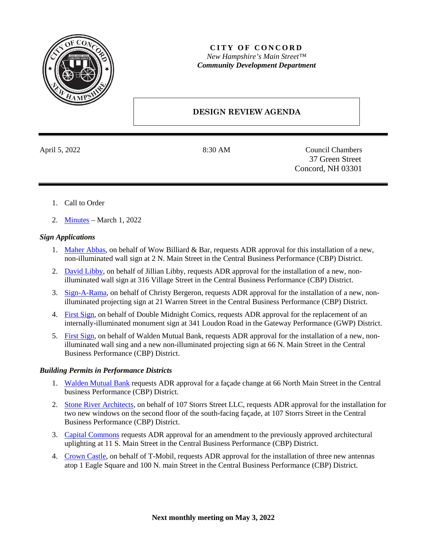

## **CITY OF CONCORD** *New Hampshire's Main Street™ Community Development Department*

# **DESIGN REVIEW AGENDA**

April 5, 2022 8:30 AM Council Chambers 37 Green Street Concord, NH 03301

- 1. Call to Order
- 2. [Minutes](https://www.concordnh.gov/DocumentCenter/View/18570/03012022) March 1, 2022

### *Sign Applications*

- 1. [Maher Abbas,](https://www.concordnh.gov/DocumentCenter/View/18569/2-N-Main-St---Wow-Billiard-Bar---1-for-ADR) on behalf of Wow Billiard & Bar, requests ADR approval for this installation of a new, non-illuminated wall sign at 2 N. Main Street in the Central Business Performance (CBP) District.
- 2. [David Libby,](https://www.concordnh.gov/DocumentCenter/View/18567/316-Village-St-Pena---The-Wild-Bean---1-for-ADR) on behalf of Jillian Libby, requests ADR approval for the installation of a new, nonilluminated wall sign at 316 Village Street in the Central Business Performance (CBP) District.
- 3. [Sign-A-Rama,](https://www.concordnh.gov/DocumentCenter/View/18563/21-Warren-St---The-Soapery---1-for-ADR) on behalf of Christy Bergeron, requests ADR approval for the installation of a new, nonilluminated projecting sign at 21 Warren Street in the Central Business Performance (CBP) District.
- 4. [First Sign,](https://www.concordnh.gov/DocumentCenter/View/18568/341-Loudon-Rd---Double-Midnight-Comics---1-FS-sign) on behalf of Double Midnight Comics, requests ADR approval for the replacement of an internally-illuminated monument sign at 341 Loudon Road in the Gateway Performance (GWP) District.
- 5. [First Sign,](https://www.concordnh.gov/DocumentCenter/View/18564/66-N-Main-St---Walden-Bank---2-for-ADR) on behalf of Walden Mutual Bank, requests ADR approval for the installation of a new, nonilluminated wall sing and a new non-illuminated projecting sign at 66 N. Main Street in the Central Business Performance (CBP) District.

#### *Building Permits in Performance Districts*

- 1. [Walden Mutual Bank](https://www.concordnh.gov/DocumentCenter/View/18596/66-N-Main-ADR-Application---Walden-Mutual-Bank-signed) requests ADR approval for a façade change at 66 North Main Street in the Central business Performance (CBP) District.
- 2. [Stone River Architects,](https://www.concordnh.gov/DocumentCenter/View/18565/107-Storrs-St) on behalf of 107 Storrs Street LLC, requests ADR approval for the installation for two new windows on the second floor of the south-facing façade, at 107 Storrs Street in the Central Business Performance (CBP) District.
- 3. [Capital Commons](https://www.concordnh.gov/DocumentCenter/View/18562/CapitalCommons_ArchitecturalUplighting_ADR_Application_20211220) requests ADR approval for an amendment to the previously approved architectural uplighting at 11 S. Main Street in the Central Business Performance (CBP) District.
- 4. [Crown Castle,](https://www.concordnh.gov/DocumentCenter/View/18600/TMobil) on behalf of T-Mobil, requests ADR approval for the installation of three new antennas atop 1 Eagle Square and 100 N. main Street in the Central Business Performance (CBP) District.